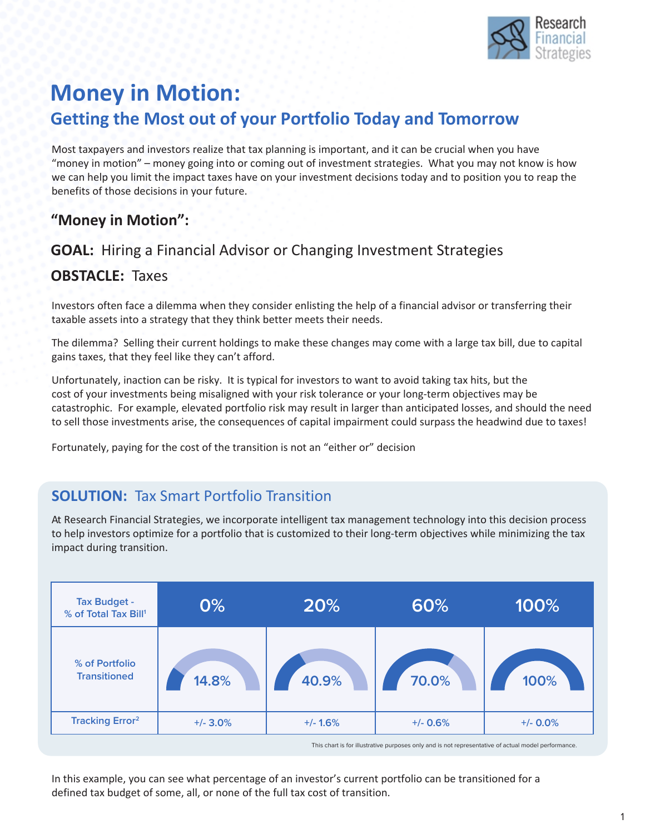

## **Money in Motion: Getting the Most out of your Portfolio Today and Tomorrow**

Most taxpayers and investors realize that tax planning is important, and it can be crucial when you have "money in motion" – money going into or coming out of investment strategies. What you may not know is how we can help you limit the impact taxes have on your investment decisions today and to position you to reap the benefits of those decisions in your future.

#### **"Money in Motion":**

# **GOAL:** Hiring a Financial Advisor or Changing Investment Strategies

#### **OBSTACLE:** Taxes

Investors often face a dilemma when they consider enlisting the help of a financial advisor or transferring their taxable assets into a strategy that they think better meets their needs.

The dilemma? Selling their current holdings to make these changes may come with a large tax bill, due to capital gains taxes, that they feel like they can't afford.

Unfortunately, inaction can be risky. It is typical for investors to want to avoid taking tax hits, but the cost of your investments being misaligned with your risk tolerance or your long-term objectives may be catastrophic. For example, elevated portfolio risk may result in larger than anticipated losses, and should the need to sell those investments arise, the consequences of capital impairment could surpass the headwind due to taxes!

Fortunately, paying for the cost of the transition is not an "either or" decision

### **SOLUTION:** Tax Smart Portfolio Transition

At Research Financial Strategies, we incorporate intelligent tax management technology into this decision process to help investors optimize for a portfolio that is customized to their long-term objectives while minimizing the tax impact during transition.

| <b>Tax Budget -</b><br>% of Total Tax Bill <sup>1</sup> | 0%          | 20%        | 60%        | 100%        |
|---------------------------------------------------------|-------------|------------|------------|-------------|
| % of Portfolio<br><b>Transitioned</b>                   | 14.8%       | 40.9%      | 70.0%      | 100%        |
| <b>Tracking Error</b> <sup>2</sup>                      | $+/- 3.0\%$ | $+/- 1.6%$ | $+/- 0.6%$ | $+/- 0.0\%$ |

This chart is for illustrative purposes only and is not representative of actual model performance.

In this example, you can see what percentage of an investor's current portfolio can be transitioned for a defined tax budget of some, all, or none of the full tax cost of transition.